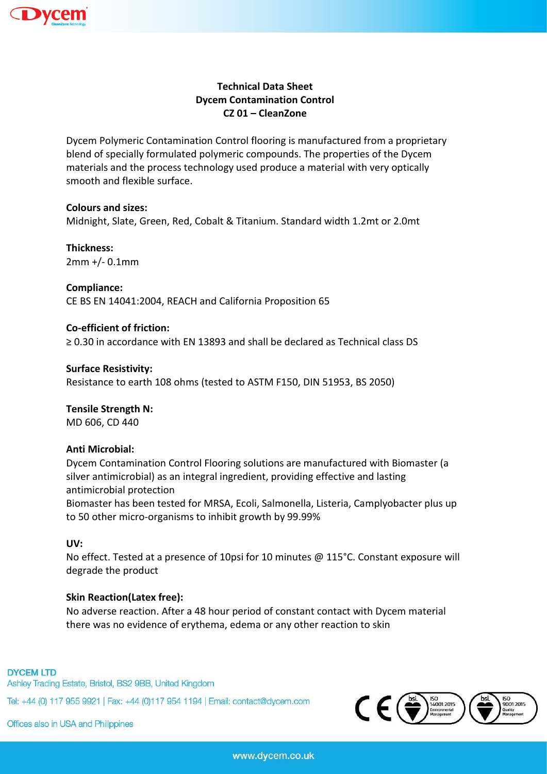

# **Technical Data Sheet Dycem Contamination Control CZ 01 – CleanZone**

Dycem Polymeric Contamination Control flooring is manufactured from a proprietary blend of specially formulated polymeric compounds. The properties of the Dycem materials and the process technology used produce a material with very optically smooth and flexible surface.

# **Colours and sizes:**

Midnight, Slate, Green, Red, Cobalt & Titanium. Standard width 1.2mt or 2.0mt

**Thickness:** 2mm +/- 0.1mm

**Compliance:**  CE BS EN 14041:2004, REACH and California Proposition 65

**Co-efficient of friction:**  ≥ 0.30 in accordance with EN 13893 and shall be declared as Technical class DS

**Surface Resistivity:**  Resistance to earth 108 ohms (tested to ASTM F150, DIN 51953, BS 2050)

**Tensile Strength N:**  MD 606, CD 440

# **Anti Microbial:**

Dycem Contamination Control Flooring solutions are manufactured with Biomaster (a silver antimicrobial) as an integral ingredient, providing effective and lasting antimicrobial protection

Biomaster has been tested for MRSA, Ecoli, Salmonella, Listeria, Camplyobacter plus up to 50 other micro-organisms to inhibit growth by 99.99%

# **UV:**

No effect. Tested at a presence of 10psi for 10 minutes @ 115°C. Constant exposure will degrade the product

# **Skin Reaction(Latex free):**

No adverse reaction. After a 48 hour period of constant contact with Dycem material there was no evidence of erythema, edema or any other reaction to skin

#### **DYCEM LTD**

Ashley Trading Estate, Bristol, BS2 9BB, United Kingdom

Tel: +44 (0) 117 955 9921 | Fax: +44 (0)117 954 1194 | Email: contact@dycem.com



Offices also in USA and Philippines